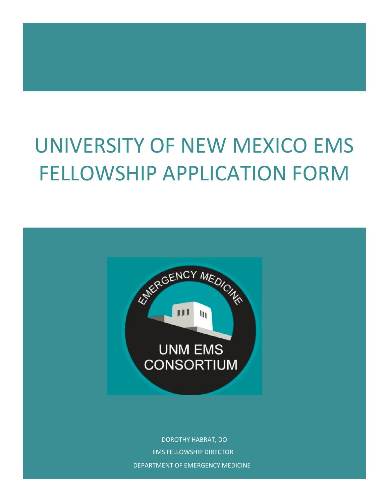# UNIVERSITY OF NEW MEXICO EMS FELLOWSHIP APPLICATION FORM



DOROTHY HABRAT, DO EMS FELLOWSHIP DIRECTOR DEPARTMENT OF EMERGENCY MEDICINE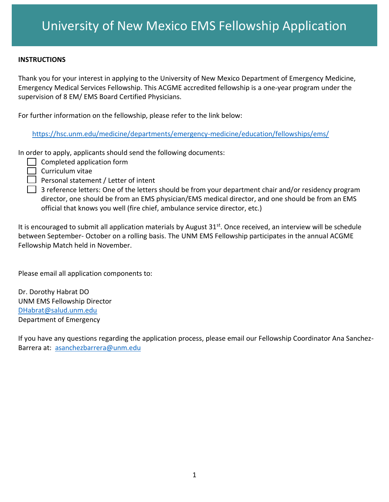#### **INSTRUCTIONS**

Thank you for your interest in applying to the University of New Mexico Department of Emergency Medicine, Emergency Medical Services Fellowship. This ACGME accredited fellowship is a one-year program under the supervision of 8 EM/ EMS Board Certified Physicians.

For further information on the fellowship, please refer to the link below:

<https://hsc.unm.edu/medicine/departments/emergency-medicine/education/fellowships/ems/>

In order to apply, applicants should send the following documents:

- $\Box$  Completed application form
- $\Box$  Curriculum vitae
- $\Box$  Personal statement / Letter of intent
- $\Box$  3 reference letters: One of the letters should be from your department chair and/or residency program director, one should be from an EMS physician/EMS medical director, and one should be from an EMS official that knows you well (fire chief, ambulance service director, etc.)

It is encouraged to submit all application materials by August 31<sup>st</sup>. Once received, an interview will be schedule between September- October on a rolling basis. The UNM EMS Fellowship participates in the annual ACGME Fellowship Match held in November.

Please email all application components to:

Dr. Dorothy Habrat DO UNM EMS Fellowship Director [DHabrat@salud.unm.edu](mailto:DHabrat@salud.unm.edu) Department of Emergency

If you have any questions regarding the application process, please email our Fellowship Coordinator Ana Sanchez-Barrera at: [asanchezbarrera@unm.edu](mailto:asanchezbarrera@unm.edu)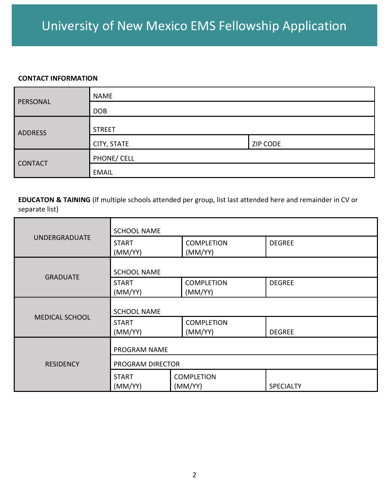## University of New Mexico EMS Fellowship Application

#### **CONTACT INFORMATION**

|                | <b>NAME</b>   |                 |  |
|----------------|---------------|-----------------|--|
| PERSONAL       | <b>DOB</b>    |                 |  |
| <b>ADDRESS</b> | <b>STREET</b> |                 |  |
|                | CITY, STATE   | <b>ZIP CODE</b> |  |
| <b>CONTACT</b> | PHONE/ CELL   |                 |  |
|                | <b>EMAIL</b>  |                 |  |

**EDUCATON & TAINING** (If multiple schools attended per group, list last attended here and remainder in CV or separate list)

|                       | <b>SCHOOL NAME</b>      |                              |                  |
|-----------------------|-------------------------|------------------------------|------------------|
| <b>UNDERGRADUATE</b>  | <b>START</b><br>(MM/YY) | <b>COMPLETION</b><br>(MM/YY) | <b>DEGREE</b>    |
| <b>GRADUATE</b>       | <b>SCHOOL NAME</b>      |                              |                  |
|                       | <b>START</b><br>(MM/YY) | <b>COMPLETION</b><br>(MM/YY) | <b>DEGREE</b>    |
|                       | <b>SCHOOL NAME</b>      |                              |                  |
| <b>MEDICAL SCHOOL</b> | <b>START</b><br>(MM/YY) | <b>COMPLETION</b><br>(MM/YY) | <b>DEGREE</b>    |
|                       | <b>PROGRAM NAME</b>     |                              |                  |
| <b>RESIDENCY</b>      | PROGRAM DIRECTOR        |                              |                  |
|                       | <b>START</b><br>(MM/YY) | <b>COMPLETION</b><br>(MM/YY) | <b>SPECIALTY</b> |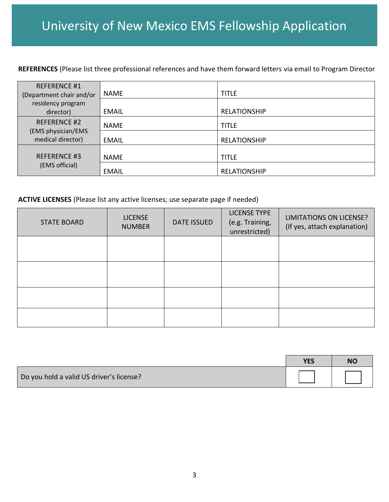**REFERENCES** (Please list three professional references and have them forward letters via email to Program Director

| <b>REFERENCE #1</b><br>(Department chair and/or                | <b>NAME</b>  | TITLE               |
|----------------------------------------------------------------|--------------|---------------------|
| residency program<br>director)                                 | <b>EMAIL</b> | <b>RELATIONSHIP</b> |
| <b>REFERENCE #2</b><br>(EMS physician/EMS<br>medical director) | <b>NAME</b>  | title               |
|                                                                | <b>EMAIL</b> | <b>RELATIONSHIP</b> |
| <b>REFERENCE #3</b>                                            | <b>NAME</b>  | TITLE               |
| (EMS official)                                                 | <b>EMAIL</b> | <b>RELATIONSHIP</b> |

**ACTIVE LICENSES** (Please list any active licenses; use separate page if needed)

| <b>STATE BOARD</b> | <b>LICENSE</b><br><b>NUMBER</b> | <b>DATE ISSUED</b> | <b>LICENSE TYPE</b><br>(e.g. Training,<br>unrestricted) | LIMITATIONS ON LICENSE?<br>(If yes, attach explanation) |
|--------------------|---------------------------------|--------------------|---------------------------------------------------------|---------------------------------------------------------|
|                    |                                 |                    |                                                         |                                                         |
|                    |                                 |                    |                                                         |                                                         |
|                    |                                 |                    |                                                         |                                                         |
|                    |                                 |                    |                                                         |                                                         |

|                                          | <b>YES</b> | <b>NC</b> |
|------------------------------------------|------------|-----------|
| Do you hold a valid US driver's license? |            |           |